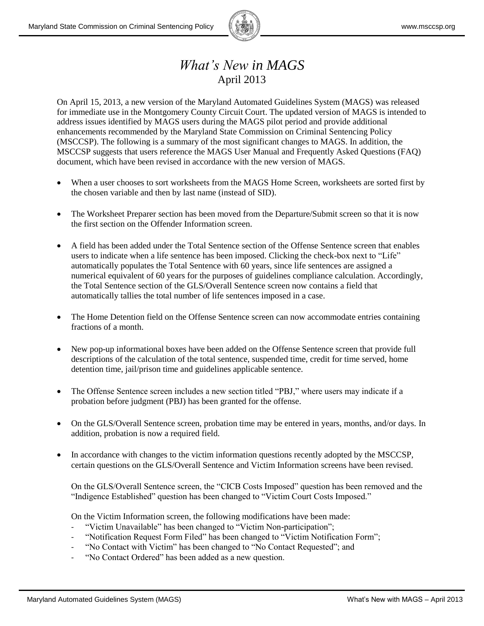

## *What's New in MAGS* April 2013

On April 15, 2013, a new version of the Maryland Automated Guidelines System (MAGS) was released for immediate use in the Montgomery County Circuit Court. The updated version of MAGS is intended to address issues identified by MAGS users during the MAGS pilot period and provide additional enhancements recommended by the Maryland State Commission on Criminal Sentencing Policy (MSCCSP). The following is a summary of the most significant changes to MAGS. In addition, the MSCCSP suggests that users reference the MAGS User Manual and Frequently Asked Questions (FAQ) document, which have been revised in accordance with the new version of MAGS.

- When a user chooses to sort worksheets from the MAGS Home Screen, worksheets are sorted first by the chosen variable and then by last name (instead of SID).
- The Worksheet Preparer section has been moved from the Departure/Submit screen so that it is now the first section on the Offender Information screen.
- A field has been added under the Total Sentence section of the Offense Sentence screen that enables users to indicate when a life sentence has been imposed. Clicking the check-box next to "Life" automatically populates the Total Sentence with 60 years, since life sentences are assigned a numerical equivalent of 60 years for the purposes of guidelines compliance calculation. Accordingly, the Total Sentence section of the GLS/Overall Sentence screen now contains a field that automatically tallies the total number of life sentences imposed in a case.
- The Home Detention field on the Offense Sentence screen can now accommodate entries containing fractions of a month.
- New pop-up informational boxes have been added on the Offense Sentence screen that provide full descriptions of the calculation of the total sentence, suspended time, credit for time served, home detention time, jail/prison time and guidelines applicable sentence.
- The Offense Sentence screen includes a new section titled "PBJ," where users may indicate if a probation before judgment (PBJ) has been granted for the offense.
- On the GLS/Overall Sentence screen, probation time may be entered in years, months, and/or days. In addition, probation is now a required field.
- In accordance with changes to the victim information questions recently adopted by the MSCCSP, certain questions on the GLS/Overall Sentence and Victim Information screens have been revised.

On the GLS/Overall Sentence screen, the "CICB Costs Imposed" question has been removed and the "Indigence Established" question has been changed to "Victim Court Costs Imposed."

On the Victim Information screen, the following modifications have been made:

- "Victim Unavailable" has been changed to "Victim Non-participation";
- "Notification Request Form Filed" has been changed to "Victim Notification Form";
- "No Contact with Victim" has been changed to "No Contact Requested"; and
- "No Contact Ordered" has been added as a new question.